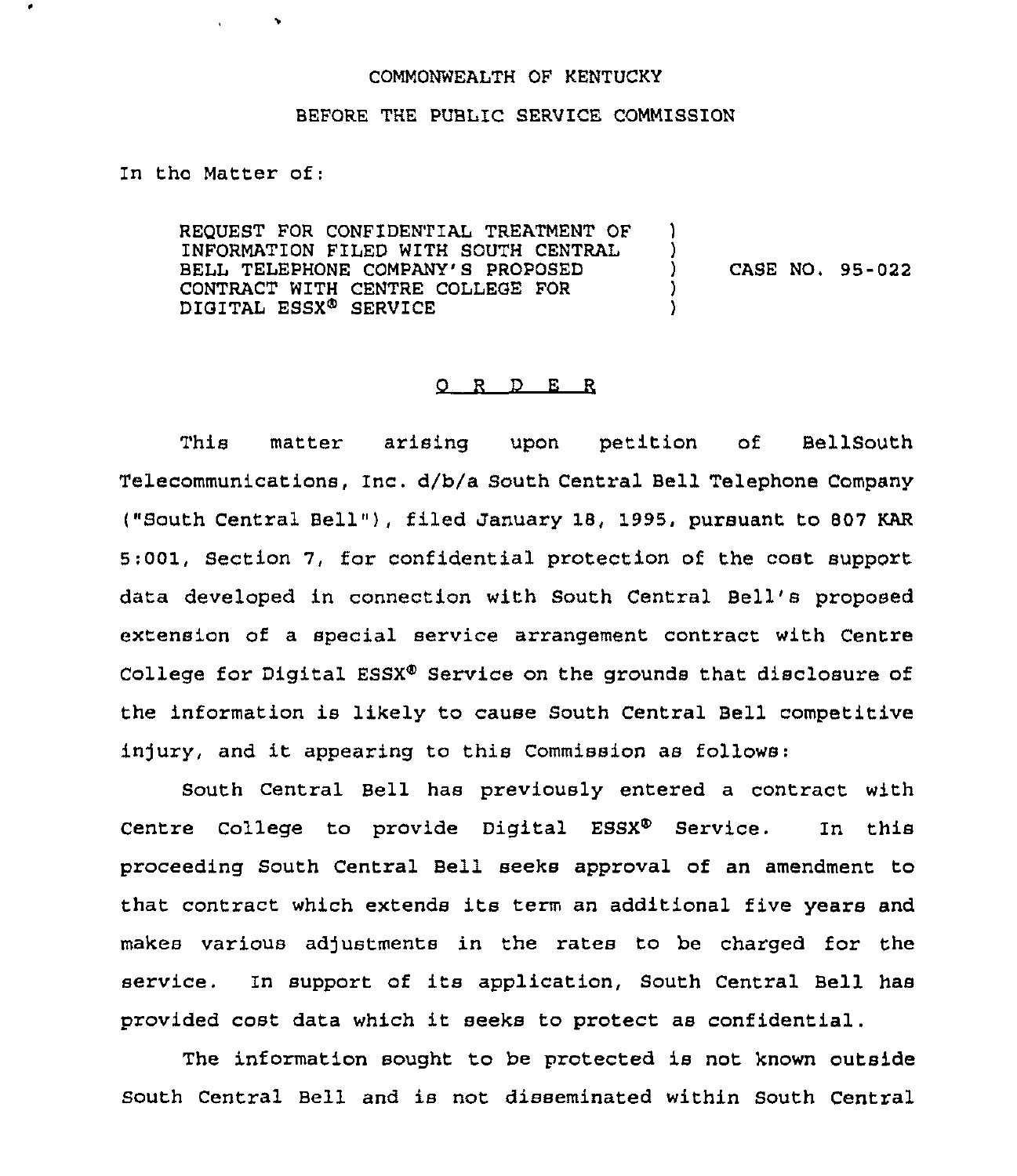## COMMONWEALTH OF KENTUCKY

## BEFORE THE PUBLIC SERVICE COMMISSION

In tho Matter of;

 $\blacktriangleright$ 

REQUEST FOR CONFIDENTIAL TREATMENT OF INFORMATION FILED WITH SOUTH CENTRAL BELL TELEPHONE COMPANY'S PROPOSED CONTRACT WITH CENTRE COLLEGE FOR DIGITAL ESSX<sup>®</sup> SERVICE ) )<br>) ) CASE NO. 95-022 ) )

## 0 <sup>R</sup> <sup>D</sup> <sup>E</sup> <sup>R</sup>

This matter arising upon petition of BellSouth Telecommunications, Inc. d/b/a South Central Bell Telephone Company ("South Central Bell"), filed January 18, 1995, pursuant to 807 KAR 5:001, Section 7, for confidential protection of the cost support data developed in connection with South Central Bell's proposed extension of a special service arrangement contract with Centre College for Digital ESSX<sup>®</sup> Service on the grounds that disclosure of the information is likely to cause South Central Bell competitive injury, and it appearing to this Commission as follows:

South Central Bell has previously entered a contract with Centre College to provide Digital ESSX® Service. In this proceeding South Central Bell seeks approval of an amendment to that contract which extends its term an additional five years and makes various adjustments in the rates to be charged for the service. In support of its application, South Central Bell has provided cost data which it seeks to protect as confidential.

The information sought to be protected is not known outside South Central Bell and is not disseminated within South Central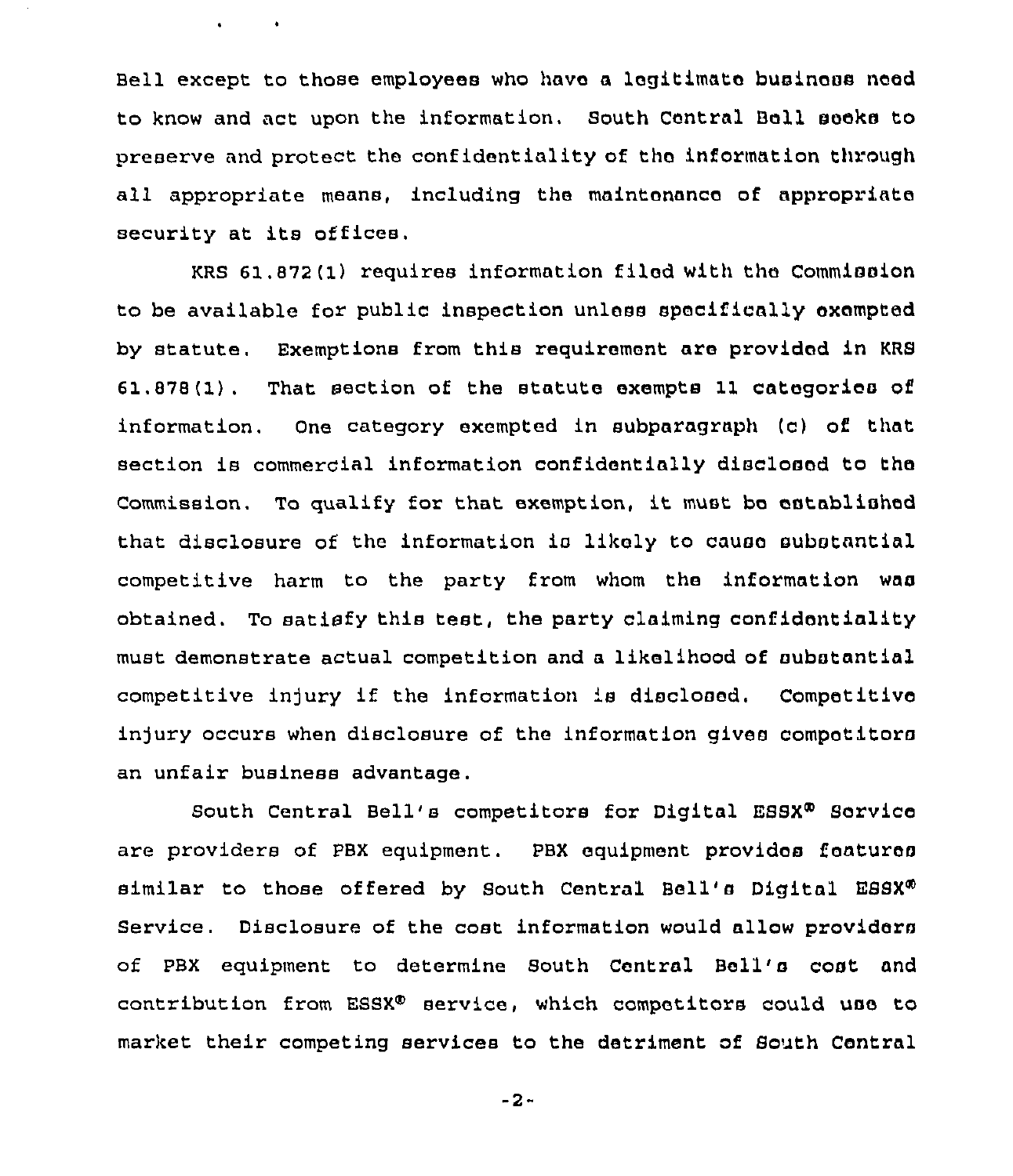Bell except to those employees who have a legitimate businass need to know and act upon the information. South Central Bell seeks to preserve and protect the confidentiality of tho information through all appropriate means, including the maintonanca of appropriate security at its offices.

 $\mathbf{v} = \mathbf{v} \times \mathbf{v}$  .

KRS 61.872(1) requires information filed with tho Commission to be available for public inspection unless specifically exempted by statute. Exemptions from this requirement are provided in KRS  $61.878(1)$ . That section of the statute exempts 11 categories of information. One category exempted in subparagraph (c) of that section is commercial information confidentially disclosed to the Commission. To qualify for that exemption, it must be established that disclosure of the information is likaly to causa substantial competitive harm to the party from whom the information was obtained. To satisfy this test, the party claiming confidentiality must demonstrate actual competition and a likelihood of substantial competitive injury if the information is disclosed. Competitive injury occurs when disclosure of the information gives competitors an unfair business advantage.

South Central Bell's competitors for Digital ESSX® Service are providers of PBX equipment. PBX equipment provides features similar to those offered by South Central Bell's Digital ESSX<sup>®</sup> Service. Disclosure of the cost information would allow providers of PBX equipment to determine South Central Bell's cost and contribution from ESSX® service, which competitors could use to market their competing services to the detriment of South Central

-2-